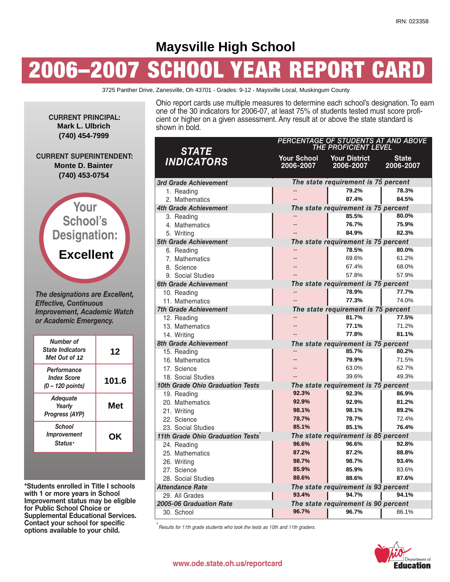# **Maysville High School**

# **2006–2007 SCHOOL YEAR REPORT CARD**

3725 Panther Drive, Zanesville, Oh 43701 - Grades: 9-12 - Maysville Local, Muskingum County

Ohio report cards use multiple measures to determine each school's designation. To earn one of the 30 indicators for 2006-07, at least 75% of students tested must score proficient or higher on a given assessment. Any result at or above the state standard is shown in bold.

| <b>STATE</b>                      | PERCENTAGE OF STUDENTS AT AND ABOVE<br>THE PROFICIENT LEVEL |                                               |                           |  |  |  |
|-----------------------------------|-------------------------------------------------------------|-----------------------------------------------|---------------------------|--|--|--|
| <b>INDICATORS</b>                 | 2006-2007                                                   | <b>Your School Your District</b><br>2006-2007 | <b>State</b><br>2006-2007 |  |  |  |
| 3rd Grade Achievement             |                                                             | The state requirement is 75 percent           |                           |  |  |  |
| 1. Reading                        |                                                             | 79.2%                                         | 78.3%                     |  |  |  |
| 2. Mathematics                    |                                                             | 87.4%                                         | 84.5%                     |  |  |  |
| <b>4th Grade Achievement</b>      |                                                             | The state requirement is 75 percent           |                           |  |  |  |
| 3. Reading                        |                                                             | 85.5%                                         | 80.0%                     |  |  |  |
| 4. Mathematics                    |                                                             | 76.7%                                         | 75.9%                     |  |  |  |
| 5. Writing                        |                                                             | 84.9%                                         | 82.3%                     |  |  |  |
| 5th Grade Achievement             |                                                             | The state requirement is 75 percent           |                           |  |  |  |
| 6. Reading                        |                                                             | 78.5%                                         | 80.0%                     |  |  |  |
| 7. Mathematics                    |                                                             | 69.6%                                         | 61.2%                     |  |  |  |
| 8. Science                        |                                                             | 67.4%                                         | 68.0%                     |  |  |  |
| 9. Social Studies                 |                                                             | 57.8%                                         | 57.9%                     |  |  |  |
| 6th Grade Achievement             |                                                             | The state requirement is 75 percent           |                           |  |  |  |
| 10. Reading                       |                                                             | 78.9%                                         | 77.7%                     |  |  |  |
| 11. Mathematics                   |                                                             | 77.3%                                         | 74.0%                     |  |  |  |
| <b>7th Grade Achievement</b>      | The state requirement is 75 percent                         |                                               |                           |  |  |  |
| 12. Reading                       |                                                             | 81.7%                                         | 77.5%                     |  |  |  |
| 13. Mathematics                   |                                                             | 77.1%                                         | 71.2%                     |  |  |  |
| 14. Writing                       |                                                             | 77.8%                                         | 81.1%                     |  |  |  |
| 8th Grade Achievement             | The state requirement is 75 percent                         |                                               |                           |  |  |  |
| 15. Reading                       |                                                             | 85.7%                                         | 80.2%                     |  |  |  |
| 16. Mathematics                   |                                                             | 79.9%                                         | 71.5%                     |  |  |  |
| 17. Science                       |                                                             | 63.0%                                         | 62.7%                     |  |  |  |
| 18. Social Studies                |                                                             | 39.6%                                         | 49.3%                     |  |  |  |
| 10th Grade Ohio Graduation Tests  |                                                             | The state requirement is 75 percent           |                           |  |  |  |
| 19. Reading                       | 92.3%                                                       | 92.3%                                         | 86.9%                     |  |  |  |
| 20. Mathematics                   | 92.9%                                                       | 92.9%                                         | 81.2%                     |  |  |  |
| 21. Writing                       | 98.1%                                                       | 98.1%                                         | 89.2%                     |  |  |  |
| 22. Science                       | 78.7%                                                       | 78.7%                                         | 72.4%                     |  |  |  |
| 23. Social Studies                | 85.1%                                                       | 85.1%                                         | 76.4%                     |  |  |  |
| 11th Grade Ohio Graduation Tests' |                                                             | The state requirement is 85 percent           |                           |  |  |  |
| 24. Reading                       | 96.6%                                                       | 96.6%                                         | 92.8%                     |  |  |  |
| 25. Mathematics                   | 87.2%                                                       | 87.2%                                         | 88.8%                     |  |  |  |
| 26. Writing                       | 98.7%                                                       | 98.7%                                         | 93.4%                     |  |  |  |
| 27. Science                       | 85.9%                                                       | 85.9%                                         | 83.6%                     |  |  |  |
| 28. Social Studies                | 88.6%                                                       | 88.6%                                         | 87.6%                     |  |  |  |
| <b>Attendance Rate</b>            |                                                             | The state requirement is 93 percent           |                           |  |  |  |
| 29. All Grades                    | 93.4%                                                       | 94.7%                                         | 94.1%                     |  |  |  |
| 2005-06 Graduation Rate           |                                                             | The state requirement is 90 percent           |                           |  |  |  |
| 30. School                        | 96.7%                                                       | 96.7%                                         | 86.1%                     |  |  |  |

**1** *Results for 11th grade students who took the tests as 10th and 11th graders.*



*Progress (AYP) Improvement* **OK**

**\*Students enrolled in Title I schools with 1 or more years in School Improvement status may be eligible for Public School Choice or Supplemental Educational Services. Contact your school for specific options available to your child.**

**Your School's**

**CURRENT PRINCIPAL:**

**Mark L. Ulbrich (740) 454-7999**

**CURRENT SUPERINTENDENT:**

**Monte D. Bainter (740) 453-0754**

**Designation:**

**Excellent**

*The designations are Excellent,*

*Improvement, Academic Watch or Academic Emergency.*

**12**

**101.6**

**Met**

*Effective, Continuous*

*Number of State Indicators Met Out of* **12** *Performance Index Score (0 – 120 points) Adequate Yearly*

*School*

*Status\**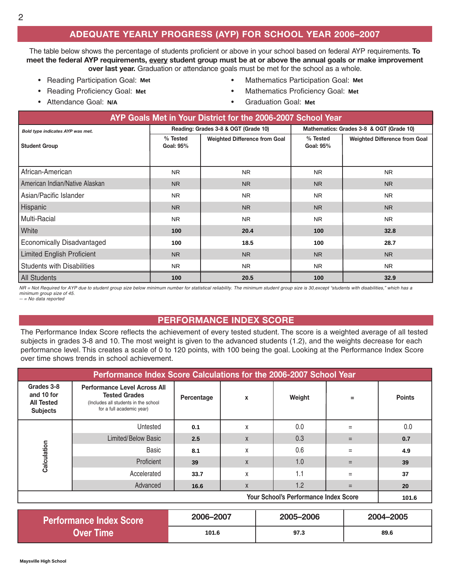### **ADEQUATE YEARLY PROGRESS (AYP) FOR SCHOOL YEAR 2006–2007**

The table below shows the percentage of students proficient or above in your school based on federal AYP requirements. **To meet the federal AYP requirements, every student group must be at or above the annual goals or make improvement over last year.** Graduation or attendance goals must be met for the school as a whole.

- Reading Participation Goal: Mathematics Participation Goal:
- Reading Proficiency Goal: Mathematics Proficiency Goal:
- Attendance Goal: N/A
- **Mathematics Participation Goal: Met**
- **Mathematics Proficiency Goal: Met**
- **Graduation Goal: Met**

| AYP Goals Met in Your District for the 2006-2007 School Year |                       |                                      |                                          |                                      |  |  |  |
|--------------------------------------------------------------|-----------------------|--------------------------------------|------------------------------------------|--------------------------------------|--|--|--|
| Bold type indicates AYP was met.                             |                       | Reading: Grades 3-8 & OGT (Grade 10) | Mathematics: Grades 3-8 & OGT (Grade 10) |                                      |  |  |  |
| <b>Student Group</b>                                         | % Tested<br>Goal: 95% | <b>Weighted Difference from Goal</b> | % Tested<br>Goal: 95%                    | <b>Weighted Difference from Goal</b> |  |  |  |
| African-American                                             | NR.                   | <b>NR</b>                            | <b>NR</b>                                | <b>NR</b>                            |  |  |  |
| American Indian/Native Alaskan                               | NR.                   | <b>NR</b>                            | N <sub>R</sub>                           | <b>NR</b>                            |  |  |  |
| Asian/Pacific Islander                                       | NR.                   | N <sub>R</sub>                       | <b>NR</b>                                | <b>NR</b>                            |  |  |  |
| Hispanic                                                     | N <sub>R</sub>        | <b>NR</b>                            | <b>NR</b>                                | <b>NR</b>                            |  |  |  |
| Multi-Racial                                                 | N <sub>R</sub>        | N <sub>R</sub>                       | <b>NR</b>                                | <b>NR</b>                            |  |  |  |
| White                                                        | 100                   | 20.4                                 | 100                                      | 32.8                                 |  |  |  |
| <b>Economically Disadvantaged</b>                            | 100                   | 18.5                                 | 100                                      | 28.7                                 |  |  |  |
| <b>Limited English Proficient</b>                            | N <sub>R</sub>        | <b>NR</b>                            | N <sub>R</sub>                           | <b>NR</b>                            |  |  |  |
| <b>Students with Disabilities</b>                            | NR                    | <b>NR</b>                            | NR.                                      | <b>NR</b>                            |  |  |  |
| <b>All Students</b>                                          | 100                   | 20.5                                 | 100                                      | 32.9                                 |  |  |  |

NR = Not Required for AYP due to student group size below minimum number for statistical reliability. The minimum student group size is 30,except "students with disabilities," which has a *minimum group size of 45. -- = No data reported*

#### **PERFORMANCE INDEX SCORE**

The Performance Index Score reflects the achievement of every tested student. The score is a weighted average of all tested subjects in grades 3-8 and 10. The most weight is given to the advanced students (1.2), and the weights decrease for each performance level. This creates a scale of 0 to 120 points, with 100 being the goal. Looking at the Performance Index Score over time shows trends in school achievement.

| Performance Index Score Calculations for the 2006-2007 School Year |                                                                                                                                  |            |              |        |     |               |  |  |  |
|--------------------------------------------------------------------|----------------------------------------------------------------------------------------------------------------------------------|------------|--------------|--------|-----|---------------|--|--|--|
| Grades 3-8<br>and 10 for<br><b>All Tested</b><br><b>Subjects</b>   | <b>Performance Level Across All</b><br><b>Tested Grades</b><br>(Includes all students in the school<br>for a full academic year) | Percentage | X            | Weight | =   | <b>Points</b> |  |  |  |
| Calculation                                                        | Untested                                                                                                                         | 0.1        | X            | 0.0    | Ξ   | 0.0           |  |  |  |
|                                                                    | <b>Limited/Below Basic</b>                                                                                                       | 2.5        | $\mathsf{X}$ | 0.3    | $=$ | 0.7           |  |  |  |
|                                                                    | Basic                                                                                                                            | 8.1        | X            | 0.6    | $=$ | 4.9           |  |  |  |
|                                                                    | Proficient                                                                                                                       | 39         | X            | 1.0    | $=$ | 39            |  |  |  |
|                                                                    | Accelerated                                                                                                                      | 33.7       | X            | 1.1    | $=$ | 37            |  |  |  |
|                                                                    | Advanced                                                                                                                         | 16.6       | X            | 1.2    | $=$ | 20            |  |  |  |
| <b>Your School's Performance Index Score</b>                       |                                                                                                                                  |            |              |        |     |               |  |  |  |

| <b>Performance Index Score</b> | 2006-2007 | 2005-2006 | 2004-2005 |
|--------------------------------|-----------|-----------|-----------|
| Over Time                      | 101.6     | 97.3      | 89.6      |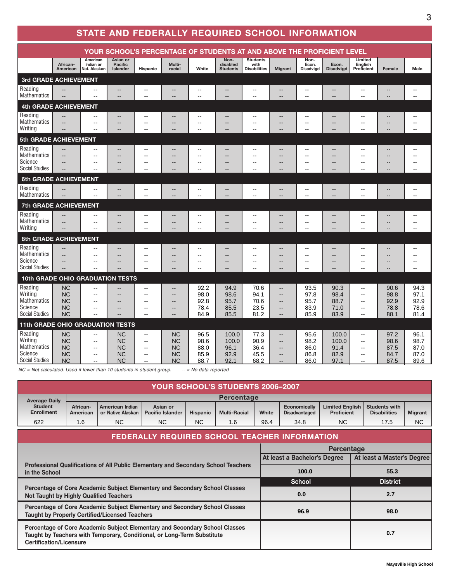# **STATE AND FEDERALLY REQUIRED SCHOOL INFORMATION**

|                                                                       | YOUR SCHOOL'S PERCENTAGE OF STUDENTS AT AND ABOVE THE PROFICIENT LEVEL |                                                                                           |                                                               |                                                                                       |                                                                           |                                          |                                              |                                                  |                                                   |                                                                       |                                        |                                                                                                             |                                                                        |                                            |
|-----------------------------------------------------------------------|------------------------------------------------------------------------|-------------------------------------------------------------------------------------------|---------------------------------------------------------------|---------------------------------------------------------------------------------------|---------------------------------------------------------------------------|------------------------------------------|----------------------------------------------|--------------------------------------------------|---------------------------------------------------|-----------------------------------------------------------------------|----------------------------------------|-------------------------------------------------------------------------------------------------------------|------------------------------------------------------------------------|--------------------------------------------|
|                                                                       | African-<br>American                                                   | American<br>Indian or<br>Nat. Alaskan                                                     | Asian or<br>Pacific<br>Islander                               | Hispanic                                                                              | Multi-<br>racial                                                          | White                                    | Non-<br>disabled<br><b>Students</b>          | <b>Students</b><br>with<br><b>Disabilities</b>   | <b>Migrant</b>                                    | Non-<br>Econ.<br>Disadvtgd                                            | Econ.<br><b>Disadvtgd</b>              | Limited<br>English<br>Proficient                                                                            | Female                                                                 | Male                                       |
|                                                                       | 3rd GRADE ACHIEVEMENT                                                  |                                                                                           |                                                               |                                                                                       |                                                                           |                                          |                                              |                                                  |                                                   |                                                                       |                                        |                                                                                                             |                                                                        |                                            |
| Reading<br><b>Mathematics</b>                                         |                                                                        | --<br>$\overline{a}$                                                                      | --                                                            | --<br>$-$                                                                             |                                                                           | $\overline{a}$                           |                                              | $\sim$<br>$\sim$                                 | ٠.<br>ц.                                          | $\overline{\phantom{a}}$<br>$\overline{a}$                            | --<br>$-$                              | --<br>$\overline{a}$                                                                                        | $\overline{a}$                                                         | $\overline{\phantom{a}}$<br>$\overline{a}$ |
| 4th GRADE ACHIEVEMENT                                                 |                                                                        |                                                                                           |                                                               |                                                                                       |                                                                           |                                          |                                              |                                                  |                                                   |                                                                       |                                        |                                                                                                             |                                                                        |                                            |
| Reading<br><b>Mathematics</b><br><b>Writing</b>                       | $\overline{a}$                                                         | --<br>$\overline{\phantom{a}}$<br>$-1$                                                    | --<br>--                                                      | $-$<br>--<br>ä.                                                                       | $\overline{\phantom{a}}$                                                  | $\overline{a}$                           |                                              | $\sim$                                           | ٠.<br>Ξ.                                          | $\overline{a}$                                                        | Ξ.                                     | --<br>--                                                                                                    | $\overline{\phantom{a}}$                                               | $-1$                                       |
| 5th GRADE ACHIEVEMENT                                                 |                                                                        |                                                                                           |                                                               |                                                                                       |                                                                           |                                          |                                              |                                                  |                                                   |                                                                       |                                        |                                                                                                             |                                                                        |                                            |
| Reading<br>Mathematics<br>Science<br><b>Social Studies</b>            | $\overline{a}$                                                         | ۵.<br>$\sim$<br>$-1$                                                                      | --<br>$-$                                                     | --<br>--<br>$-$<br>$-1$                                                               | $\overline{\phantom{a}}$                                                  | --<br>$\sim$<br>--                       | н.                                           | $\sim$                                           | ٠.<br>--                                          | --<br>$\sim$<br>$\overline{\phantom{a}}$                              | --                                     | --<br>--                                                                                                    | $\overline{\phantom{a}}$                                               | $- -$                                      |
| 6th GRADE ACHIEVEMENT                                                 |                                                                        |                                                                                           |                                                               |                                                                                       |                                                                           |                                          |                                              |                                                  |                                                   |                                                                       |                                        |                                                                                                             |                                                                        |                                            |
| Reading<br>Mathematics                                                | $\overline{\phantom{a}}$<br>$\overline{a}$                             | $\overline{\phantom{a}}$<br>$\sim$ $\sim$                                                 | --<br>$-$                                                     | $-1$<br>$\overline{a}$                                                                | --<br>$\overline{a}$                                                      | --<br>$\sim$                             | $\sim$                                       | $\sim$<br>$\overline{a}$                         | --<br>--                                          | $\sim$                                                                | --<br>$\overline{a}$                   | --<br>$\overline{a}$                                                                                        | --<br>$\overline{a}$                                                   | $\sim$<br>$\sim$                           |
| 7th GRADE ACHIEVEMENT                                                 |                                                                        |                                                                                           |                                                               |                                                                                       |                                                                           |                                          |                                              |                                                  |                                                   |                                                                       |                                        |                                                                                                             |                                                                        |                                            |
| Reading<br><b>Mathematics</b><br>Writina                              | $\overline{a}$                                                         | --<br>$\overline{a}$                                                                      | --<br>$\overline{\phantom{a}}$                                | $-1$<br>$-$<br>--                                                                     | $\overline{\phantom{a}}$<br>$\overline{\phantom{a}}$                      | --<br>$\overline{\phantom{a}}$<br>$-$    | $\sim$                                       | --<br>$\sim$                                     | Ξ.<br>٠.<br>٠.                                    | $\overline{\phantom{a}}$<br>$\sim$ $\sim$                             | --<br>$-$                              | --<br>$-$<br>--                                                                                             | --<br>$\overline{\phantom{a}}$                                         | $\overline{\phantom{a}}$                   |
| <b>8th GRADE ACHIEVEMENT</b>                                          |                                                                        |                                                                                           |                                                               |                                                                                       |                                                                           |                                          |                                              |                                                  |                                                   |                                                                       |                                        |                                                                                                             |                                                                        |                                            |
| Reading<br><b>Mathematics</b><br>Science<br><b>Social Studies</b>     | $\overline{\phantom{a}}$<br>$\overline{\phantom{a}}$<br>--             | $-1$<br>$\overline{\phantom{a}}$<br>$\overline{\phantom{a}}$<br>$\sim$                    | $-$<br>$\qquad \qquad -$<br>--<br>--                          | $-$<br>--<br>$\overline{a}$<br>$\overline{a}$                                         | $\qquad \qquad -$<br>$\overline{\phantom{a}}$<br>$\overline{\phantom{a}}$ | $\overline{\phantom{a}}$<br>--<br>$\sim$ | $\overline{\phantom{a}}$<br>$\sim$<br>$\sim$ | $\overline{\phantom{a}}$<br>--<br>$\overline{a}$ | --<br>٠.<br>--<br>--                              | $\overline{a}$<br>$\overline{\phantom{a}}$<br>$\sim$ $\sim$<br>$\sim$ | --<br>$-$<br>$-$                       | ۵.<br>--<br>--<br>$\overline{a}$                                                                            | $\overline{\phantom{a}}$<br>$\overline{\phantom{a}}$<br>$\overline{a}$ | $\sim$<br>--<br>$\sim$                     |
| <b>10th GRADE OHIO GRADUATION TESTS</b>                               |                                                                        |                                                                                           |                                                               |                                                                                       |                                                                           |                                          |                                              |                                                  |                                                   |                                                                       |                                        |                                                                                                             |                                                                        |                                            |
| Reading<br>Writina<br>Mathematics<br>Science<br><b>Social Studies</b> | <b>NC</b><br><b>NC</b><br><b>NC</b><br><b>NC</b><br><b>NC</b>          | $\overline{a}$<br>$\sim$<br>$\overline{\phantom{a}}$<br>$\sim$<br>$\sim$                  | --<br>--<br>--                                                | $-$<br>$-1$<br>--<br>--<br>--                                                         | $- -$<br>$- -$<br>--<br>$\overline{\phantom{a}}$                          | 92.2<br>98.0<br>92.8<br>78.4<br>84.9     | 94.9<br>98.6<br>95.7<br>85.5<br>85.5         | 70.6<br>94.1<br>70.6<br>23.5<br>81.2             | ۵.<br>ц.<br>н.<br>--<br>--                        | 93.5<br>97.8<br>95.7<br>83.9<br>85.9                                  | 90.3<br>98.4<br>88.7<br>71.0<br>83.9   | --<br>$\overline{\phantom{a}}$<br>$\overline{a}$<br>$\overline{a}$<br>$\overline{a}$                        | 90.6<br>98.8<br>92.9<br>78.8<br>88.1                                   | 94.3<br>97.1<br>92.9<br>78.6<br>81.4       |
| 11th GRADE OHIO GRADUATION TESTS                                      |                                                                        |                                                                                           |                                                               |                                                                                       |                                                                           |                                          |                                              |                                                  |                                                   |                                                                       |                                        |                                                                                                             |                                                                        |                                            |
| Reading<br>Writing<br>Mathematics<br>Science<br>Social Studies        | <b>NC</b><br><b>NC</b><br><b>NC</b><br><b>NC</b><br><b>NC</b>          | $\overline{\phantom{a}}$<br>$\sim$ $\sim$<br>$\overline{\phantom{a}}$<br>$\sim$<br>$\sim$ | <b>NC</b><br><b>NC</b><br><b>NC</b><br><b>NC</b><br><b>NC</b> | $\overline{a}$<br>$\overline{\phantom{a}}$<br>$\overline{a}$<br>$\overline{a}$<br>$-$ | <b>NC</b><br><b>NC</b><br><b>NC</b><br><b>NC</b><br><b>NC</b>             | 96.5<br>98.6<br>88.0<br>85.9<br>88.7     | 100.0<br>100.0<br>96.1<br>92.9<br>92.1       | 77.3<br>90.9<br>36.4<br>45.5<br>68.2             | --<br>--<br>$-$<br>$\overline{\phantom{a}}$<br>-- | 95.6<br>98.2<br>86.0<br>86.8<br>86.0                                  | 100.0<br>100.0<br>91.4<br>82.9<br>97.1 | $\overline{\phantom{a}}$<br>$\overline{\phantom{a}}$<br>$\frac{1}{2}$<br>$\overline{\phantom{a}}$<br>$\sim$ | 97.2<br>98.6<br>87.5<br>84.7<br>87.5                                   | 96.1<br>98.7<br>87.0<br>87.0<br>89.6       |

*NC = Not calculated. Used if fewer than 10 students in student group. -- = No data reported*

| YOUR SCHOOL'S STUDENTS 2006–2007`   |                      |                                      |                                     |                 |                     |       |                                      |                                             |                                             |                |
|-------------------------------------|----------------------|--------------------------------------|-------------------------------------|-----------------|---------------------|-------|--------------------------------------|---------------------------------------------|---------------------------------------------|----------------|
| <b>Average Daily</b>                |                      |                                      |                                     |                 | Percentage          |       |                                      |                                             |                                             |                |
| <b>Student</b><br><b>Enrollment</b> | African-<br>American | American Indian<br>or Native Alaskan | Asian or<br><b>Pacific Islander</b> | <b>Hispanic</b> | <b>Multi-Racial</b> | White | Economically<br><b>Disadvantaged</b> | <b>Limited English</b><br><b>Proficient</b> | <b>Students with</b><br><b>Disabilities</b> | <b>Migrant</b> |
| 622                                 | 1.6                  | <b>NC</b>                            | <b>NC</b>                           | <b>NC</b>       | 1.6                 | 96.4  | 34.8                                 | <b>NC</b>                                   | 17.5                                        | <b>NC</b>      |

| FEDERALLY REQUIRED SCHOOL TEACHER INFORMATION                                                                                                                                            |                              |                            |  |  |  |  |  |
|------------------------------------------------------------------------------------------------------------------------------------------------------------------------------------------|------------------------------|----------------------------|--|--|--|--|--|
|                                                                                                                                                                                          | Percentage                   |                            |  |  |  |  |  |
|                                                                                                                                                                                          | At least a Bachelor's Degree | At least a Master's Degree |  |  |  |  |  |
| Professional Qualifications of All Public Elementary and Secondary School Teachers<br>in the School                                                                                      | 100.0                        | 55.3                       |  |  |  |  |  |
|                                                                                                                                                                                          | <b>School</b>                | <b>District</b>            |  |  |  |  |  |
| Percentage of Core Academic Subject Elementary and Secondary School Classes<br>Not Taught by Highly Qualified Teachers                                                                   | 0.0                          | 2.7                        |  |  |  |  |  |
| Percentage of Core Academic Subject Elementary and Secondary School Classes<br><b>Taught by Properly Certified/Licensed Teachers</b>                                                     | 96.9                         | 98.0                       |  |  |  |  |  |
| Percentage of Core Academic Subject Elementary and Secondary School Classes<br>Taught by Teachers with Temporary, Conditional, or Long-Term Substitute<br><b>Certification/Licensure</b> |                              | 0.7                        |  |  |  |  |  |